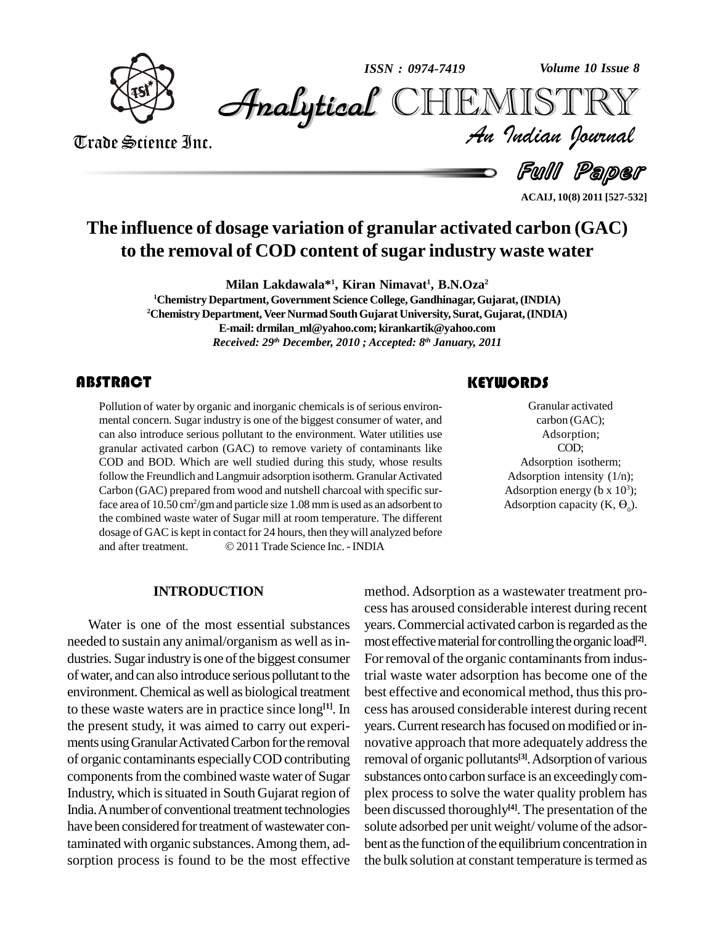

*Volume 10 Issue 8*



Trade Science Inc. Trade Science Inc.

*Volume 10 Issue 8*<br>IISTRY<br>*Indian Iournal* 

Full Paper

**ACAIJ, 10(8) 2011 [527-532]**

# **The influence of dosage variation of granular activated carbon (GAC) to the removal of COD content ofsugar industry waste water**

**Milan Lakdawala\* 1 , Kiran Nimavat 1 , B.N.Oza 2**

**<sup>1</sup>Chemistry Department,Government Science College, Gandhinagar,Gujarat,(INDIA) <sup>2</sup>Chemistry Department, VeerNurmad SouthGujarat University,Surat,Gujarat,(INDIA) E-mail: [drmilan\\_ml@yahoo.com;](mailto:drmilan_ml@yahoo.com;) [kirankartik@yahoo.com](mailto:kirankartik@yahoo.com)** *Received: 29 th December, 2010 ; Accepted: 8 th January, 2011*

# **ABSTRACT**

Pollution of water by org<br>mental concern. Sugar in<br>can also introduce seriou Pollution of water by organic and inorganic chemicals is of serious environmental concern. Sugar industry isone of the biggest consumer of water, and can also introduce serious pollutant to the environment. Water utilities use granular activated carbon (GAC) to remove variety of contaminants like COD and BOD. Which are well studied during this study, whose results follow the Freundlich and Langmuir adsorption isotherm. Granular Activated Carbon (GAC) prepared from wood and nutshell charcoal with specific surface area of 10.50 cm<sup>2</sup> /gmand particle size 1.08 mmis used as an adsorbent to the combined waste water of Sugar mill at room temperature. The different<br>dosage of GAC is kept in contact for 24 hours, then they will analyzed before<br>and after treatment. © 2011 Trade Science Inc. - INDIA dosage of GAC is kept in contact for 24 hours, then they will analyzed before

## **INTRODUCTION**

Water is one of the most essential substances needed to sustain any animal/organism as well as industries. Sugar industry is one of the biggest consumer ofwater, and can also introduce serious pollutant to the environment.Chemical aswell as biological treatment to these waste waters are in practice since long<sup>[1]</sup>. In the present study, it was aimed to carry out experi ments using Granular Activated Carbon for the removal of organic contaminants especiallyCOD contributing components from the combined waste water of Sugar Industry, which issituated in South Gujarat region of India. A number of conventional treatment technologies have been considered for treatment of wastewater contaminated with organic substances.Among them, ad sorption process is found to be the most effective

## **KEYWORDS**

Granular activa<br>
carbon (GAC<br>
Adsorption: Granular activated carbon (GAC); Adsorption; COD; Adsorption isotherm; Adsorption intensity  $(1/n)$ ; Adsorption energy ( $b \times 10^3$ ); Adsorption capacity  $(K, \Theta_0)$ .

**[1]**. In cess has aroused considerable interest during recent method. Adsorption as a wastewater treatment pro cess has aroused considerable interest during recent years. Commercial activated carbon is regarded as the most effective material for controlling the organic load<sup>[2]</sup>. For removal of the organic contaminants from industrial waste water adsorption has become one of the best effective and economical method, thus this proyears. Current research has focused on modified or innovative approach that more adequately address the removal of organic pollutants **[3]**.Adsorption of various substances onto carbon surface is an exceedinglycom plex process to solve the water quality problem has been discussed thoroughly **[4]**. The presentation of the solute adsorbed per unit weight/volume of the adsorbent as the function of the equilibrium concentration in the bulk solution at constant temperature is termed as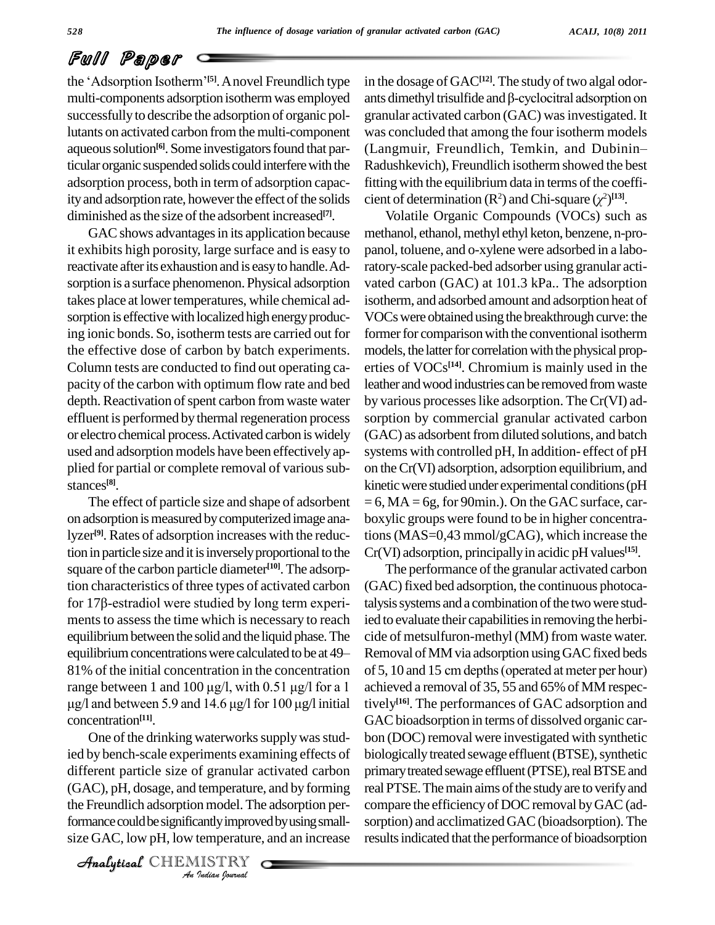# Full Paper

**Full Paper**<br>the 'Adsorption Isotherm'<sup>[5]</sup>. A novel Freundlich type in the successfully to describe the adsorption of organic pollutants on activated carbon fromthe multi-component aqueous solution<sup>[6]</sup>. Some investigators found that particular organic suspended solids could interferewith the adsorption process, both in term of adsorption capacity and adsorption rate, however the effect of the solids diminished as the size of the adsorbent increased<sup>[7]</sup>.

GAC shows advantages in its application because it exhibits high porosity, large surface and is easy to reactivate afterits exhaustion and is easyto handle.Ad sorption is a surface phenomenon. Physical adsorption takes place at lower temperatures, while chemical adsorption is effective with localized high energy producing ionic bonds. So, isotherm tests are carried out for the effective dose of carbon by batch experiments. Column tests are conducted to find out operating ca pacity of the carbon with optimum flow rate and bed depth. Reactivation of spent carbon from waste water effluent is performed by thermal regeneration process or electro chemical process. Activated carbon is widely used and adsorption models have been effectively ap plied for partial or complete removal of various substances **[8]**.

The effect of particle size and shape of adsorbent on adsorption is measured by computerized image analyzer **[9]**. Rates of adsorption increases with the reduction in particle size and it is inversely proportional to the square of the carbon particle diameter<sup>[10]</sup>. The adsorp-<br>tion characteristics of three types of activated carbon (GA<br>for 17β-estradiol were studied by long term experi-<br>talys tion characteristics of three types of activated carbon ments to assess the time which is necessary to reach ied to e<br>equilibrium between the solid and the liquid phase. The cide of<br>equilibrium concentrations were calculated to be at 49–Remov equilibriumbetweenthe solid and the liquid phase.The 81% of the initial concentration in the concentration of  $5, 10$ equilibrium concentrations were calculated to be at  $49-$  Remov<br>81% of the initial concentration in the concentration of 5,10<br>range between 1 and 100  $\mu$ g/l, with 0.51  $\mu$ g/l for a 1 achieve of the initial concentration in the concentration of<br>e between 1 and 100  $\mu$ g/l, with 0.51  $\mu$ g/l for a 1 acl<br>and between 5.9 and 14.6  $\mu$ g/l for 100  $\mu$ g/l initial tiv concentration **[11]**.

different particle size of granular activated carbon primary *I* granural and<br> *I* temperature,<br> *I* andly improve<br> *I* ISTRY  $(AAC)$ , pH, dosage, and temperature, and by forming real PT One of the drinking waterworks supply was studied by bench-scale experiments examining effects of the Freundlich adsorption model. The adsorption performance could be significantly improved by using smallsize GAC, low pH, low temperature, and an increase

CHEMISTRY

multi-components adsorption isotherm was employed ants dimethyl trisulfide and  $\beta$ -cyclocitral adsorption on in the dosage of GAC<sup>[12]</sup>. The study of two algal odorin the dosage of GAC<sup>[12]</sup>. The study of two algal odor-<br>ants dimethyl trisulfide and  $\beta$ -cyclocitral adsorption on granular activated carbon (GAC) was investigated. It<br>was concluded that among the four isotherm models<br>(Langmuir, Freundlich, Temkin, and Dubinin– was concluded that among the four isotherm models Radushkevich), Freundlich isothermshowed the best fitting with the equilibrium data in terms of the coeffi-Radushkevich), Freundlich isotherm showed the best<br>fitting with the equilibrium data in terms of the coeffi-<br>cient of determination  $(R^2)$  and Chi-square  $(\chi^2)^{[13]}$ .

> Volatile Organic Compounds (VOCs) such as methanol, ethanol, methyl ethyl keton, benzene, n-propanol, toluene, and o-xylene were adsorbed in a laboratory-scale packed-bed adsorber using granular acti vated carbon (GAC) at 101.3 kPa.. The adsorption isotherm, and adsorbed amount and adsorption heat of VOCs were obtained using the breakthrough curve: the former for comparison with the conventional isotherm models, the latter for correlation with the physical properties of VOCs **[14]**. Chromium is mainly used in the leather andwood industries can be removed fromwaste by various processeslike adsorption. TheCr(VI) ad sorption by commercial granular activated carbon (GAC) as adsorbent from diluted solutions, and batch systems with controlled pH, In addition- effect of pH on theCr(VI) adsorption, adsorption equilibrium, and kinetic were studied under experimental conditions (pH  $= 6$ , MA  $= 6$ g, for 90min.). On the GAC surface, carboxylic groups were found to be in higher concentrations(MAS=0,43 mmol/gCAG), which increase the Cr(VI) adsorption, principallyin acidic pH values **[15]**.

The performance of the granular activated carbon (GAC) fixed bed adsorption, the continuous photocatalysis systems and a combination of the two were studied to evaluate their capabilities in removing the herbicide of metsulfuron-methyl(MM) from waste water. Removal ofMMvia adsorption usingGACfixed beds cide of metsulfuron-methyl (MM) from waste water.<br>Removal of MM via adsorption using GAC fixed beds<br>of 5, 10 and 15 cm depths (operated at meter per hour) achieved a removal of 35, 55 and 65% of MM respectively **[16]**. The performances of GAC adsorption and GAC bioadsorption in terms of dissolved organic carbon (DOC) removal were investigated with synthetic biologically treated sewage effluent (BTSE), synthetic primary treated sewage effluent (PTSE), real BTSE and real PTSE. The main aims of the study are to verify and compare the efficiency of DOC removal by GAC (adsorption) and acclimatized GAC (bioadsorption). The results indicated that the performance of bioadsorption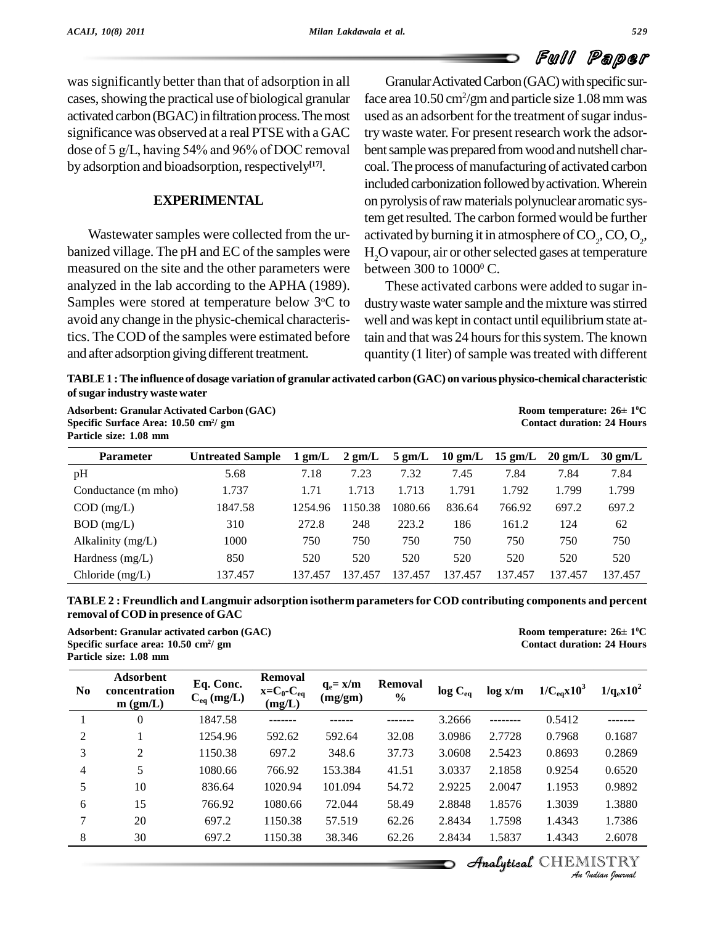was significantly better than that of adsorption in all cases, showing the practical use of biological granular activated carbon (BGAC) in filtration process. The most<br>significance was observed at a real PTSE with a GAC try<br>dose of 5 g/L, having 54% and 96% of DOC removal ber significance was observed at a real PTSE with a GAC by adsorption and bioadsorption, respectively<sup>[17]</sup>.

#### **EXPERIMENTAL**

Wastewater samples were collected from the urbanized village. The pH and EC of the samples were measured on the site and the other parameters were analyzed in the lab according to the APHA (1989). Samples were stored at temperature below 3<sup>o</sup>C to avoid any change in the physic-chemical characteristics. TheCOD of the samples were estimated before and after adsorption giving different treatment.

Granular Activated Carbon (GAC) with specific surface area 10.50 cm<sup>2</sup>/gm and particle size 1.08 mm was used as an adsorbent for the treatment of sugar industrywaste water. For present research work the adsor bent sample was prepared from wood and nutshell charcoal. The process of manufacturing of activated carbon included carbonization followed by activation. Wherein on pyrolysis ofrawmaterials polynuclear aromatic system get resulted. The carbon formed would be further activated by burning it in atmosphere of  $\mathrm{CO}_2^{\vphantom{\dagger}},\mathrm{CO},\mathrm{O}_2^{\vphantom{\dagger}},$ H<sub>2</sub>O vapour, air or other selected gases at temperature between 300 to  $1000^{\circ}$  C.

<sup>o</sup>C to dustry waste water sample and the mixture was stirred These activated carbons were added to sugar in well and was kept in contact until equilibriumstate attain and that was 24 hours for this system. The known quantity (1 liter) of sample was treated with different

| TABLE 1 : The influence of dosage variation of granular activated carbon (GAC) on various physico-chemical characteristic |                                         |  |  |  |  |  |
|---------------------------------------------------------------------------------------------------------------------------|-----------------------------------------|--|--|--|--|--|
| of sugar industry waste water                                                                                             |                                         |  |  |  |  |  |
| <b>Adsorbent: Granular Activated Carbon (GAC)</b>                                                                         | Room temperature: $26 \pm 10^{\circ}$ C |  |  |  |  |  |

**Specific Surface Area: 10.50 cm<sup>2</sup> Particle size: 1.08 mm**

| Particle size: 1.08 mm |                         |                  |                  |                  |                   |                   |                   |                   |
|------------------------|-------------------------|------------------|------------------|------------------|-------------------|-------------------|-------------------|-------------------|
| <b>Parameter</b>       | <b>Untreated Sample</b> | $1 \text{ gm/L}$ | $2 \text{ gm/L}$ | $5 \text{ gm/L}$ | $10 \text{ gm/L}$ | $15 \text{ gm/L}$ | $20 \text{ gm/L}$ | $30 \text{ gm/L}$ |
| pH                     | 5.68                    | 7.18             | 7.23             | 7.32             | 7.45              | 7.84              | 7.84              | 7.84              |
| Conductance (m mho)    | 1.737                   | 1.71             | 1.713            | .713             | 1.791             | 1.792             | 1.799             | 1.799             |
| $COD$ (mg/L)           | 1847.58                 | 1254.96          | 1150.38          | 1080.66          | 836.64            | 766.92            | 697.2             | 697.2             |
| $BOD$ (mg/L)           | 310                     | 272.8            | 248              | 223.2            | 186               | 161.2             | 124               | 62                |
| Alkalinity (mg/L)      | 1000                    | 750              | 750              | 750              | 750               | 750               | 750               | 750               |
| Hardness $(mg/L)$      | 850                     | 520              | 520              | 520              | 520               | 520               | 520               | 520               |
| Chloride $(mg/L)$      | 137.457                 | 137.457          | 137.457          | 137.457          | 137.457           | 137.457           | 137.457           | 137.457           |

**TABLE 2 : Freundlich and Langmuir adsorption isotherm parametersfor COD contributing components and percent Adsorbent: Granular activated carbon (GAC) Room temperature: <sup>26</sup><sup>±</sup> <sup>1</sup> removal of COD in presence of GAC**

**Specific surface area: 10.50 cm<sup>2</sup> Particle size: 1.08 mm**

Room temperature:  $26 \pm 10^{\circ}$ C **/ gm Contact duration: 24 Hours**

**/ gm Contact duration: 24 Hours**

| $1/q_e x 10^2$ | $1/C_{eq}x10^3$ | $\log x/m$ | $log C_{eq}$ | <b>Removal</b><br>$\frac{0}{0}$ | $q_e = x/m$<br>(mg/gm) | <b>Removal</b><br>$x=C_0-C_{eq}$<br>(mg/L) | Eq. Conc.<br>$C_{eq}$ (mg/L) | Adsorbent<br>concentration<br>$m$ (gm/L) | N <sub>0</sub> |
|----------------|-----------------|------------|--------------|---------------------------------|------------------------|--------------------------------------------|------------------------------|------------------------------------------|----------------|
|                | 0.5412          |            | 3.2666       |                                 |                        |                                            | 1847.58                      | $\mathbf{0}$                             |                |
| 0.1687         | 0.7968          | 2.7728     | 3.0986       | 32.08                           | 592.64                 | 592.62                                     | 1254.96                      |                                          | 2              |
| 0.2869         | 0.8693          | 2.5423     | 3.0608       | 37.73                           | 348.6                  | 697.2                                      | 1150.38                      | 2                                        | 3              |
| 0.6520         | 0.9254          | 2.1858     | 3.0337       | 41.51                           | 153.384                | 766.92                                     | 1080.66                      | 5                                        | 4              |
| 0.9892         | 1.1953          | 2.0047     | 2.9225       | 54.72                           | 101.094                | 1020.94                                    | 836.64                       | 10                                       | 5              |
| 1.3880         | 1.3039          | 1.8576     | 2.8848       | 58.49                           | 72.044                 | 1080.66                                    | 766.92                       | 15                                       | 6              |
| 1.7386         | 1.4343          | 1.7598     | 2.8434       | 62.26                           | 57.519                 | 1150.38                                    | 697.2                        | 20                                       | 7              |
| 2.6078         | 1.4343          | 1.5837     | 2.8434       | 62.26                           | 38.346                 | 1150.38                                    | 697.2                        | 30                                       | 8              |

**Analytical** CHEMISTRY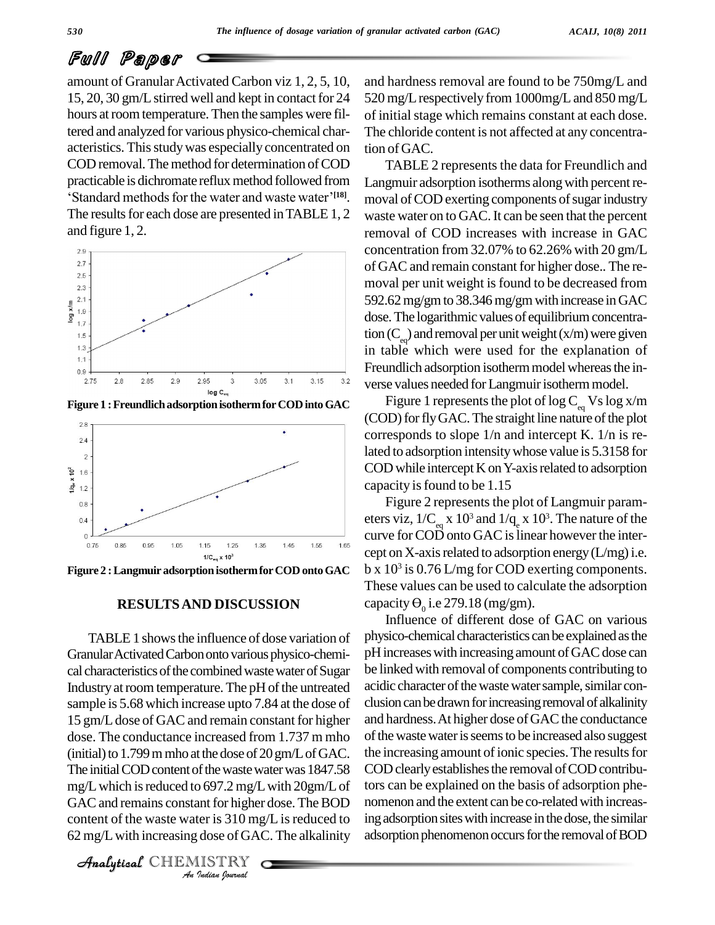# Full Paper

amount of Granular Activated Carbon viz 1, 2, 5, 10,  $15, 20, 30$  gm/L stirred well and kept in contact for  $24$ hours at room temperature. Then the samples were filtered and analyzed for various physico-chemical char acteristics. This study was especially concentrated on COD removal. The method for determination of COD TABLI practicable is dichromate reflux method followed from Langmuir ad boval. The method for determination of COD<br>is dichromate reflux method followed from<br>methods for the water and waste water<sup>7[18]</sup>. 'Standard methods for the water and waste water'<sup>[18]</sup>. The results for each dose are presented in TABLE 1, 2 and figure 1, 2.



**Figure 1 :Freundlichadsorption isothermforCODintoGAC**



**Figure 2 :Langmuir adsorption isothermforCOD ontoGAC**

#### **RESULTSAND DISCUSSION**

The initial COD content of the waste water was 1847.58 COD c *In* the waste was<br>*Indian* for higher<br>*Indian* bournal<br>*I*ISTRY mg/L which is reduced to  $697.2$  mg/L with  $20$ gm/L of tors TABLE 1 shows the influence of dose variation of Granular Activated Carbon onto various physico-chemical characteristics of the combined waste water of Sugar Industry at room temperature. The pH of the untreated sample is 5.68 which increase upto 7.84 at the dose of 15 gm/L dose of GAC and remain constant for higher dose. The conductance increased from 1.737 m mho (initial) to  $1.799$  m mho at the dose of  $20$  gm/L of GAC. GAC and remains constant for higher dose. The BOD content of the waste water is  $310 \text{ mg/L}$  is reduced to 62 mg/Lwith increasing dose of GAC. The alkalinity

CHEMISTRY

and hardness removal are found to be 750mg/L and 520 mg/Lrespectively from 1000mg/Land 850 mg/L of initial stage which remains constant at each dose. The chloride content is not affected at any concentration of GAC.

TABLE 2 represents the data for Freundlich and Langmuir adsorption isotherms along with percent removal of COD exerting components of sugar industry waste water on to GAC. It can be seen that the percent removal of COD increases with increase in GAC concentration from 32.07% to 62.26% with 20 gm/L of GAC and remain constant for higher dose.. The removal per unit weight is found to be decreased from 592.62mg/gmto 38.346mg/gmwith increase inGAC dose. The logarithmic values of equilibrium concentration  $(C_{\infty})$  and removal per unit weight (x/m) were given in table which were used for the explanation of Freundlich adsorption isotherm model whereas the inverse values needed for Langmuir isotherm model.

Figure 1 represents the plot of log  $C_{\text{eq}}$  Vs log x/m (COD) for fly GAC. The straight line nature of the plot corresponds to slope 1/n and intercept K. 1/n is related to adsorption intensitywhose value is 5.3158 for  $\mathop{\mathrm{COD}}$  while intercept  $\mathop{\mathrm{K}}$  on Y-axis related to adsorption capacity is found to be 1.15

Figure 2 represents the plot of Langmuir parameters viz,  $1/C_{\rm eq}$  x  $10^3$  and  $1/q_{\rm e}$  x  $10^3$ . The nature of the curve for COD onto GAC is linear however the intercept on X-axis related to adsorption energy  $(L/mg)$  i.e. b x 10 3 is 0.76 L/mg for COD exerting components. These values can be used to calculate the adsorption capacity  $\Theta_0$  i.e 279.18 (mg/gm).

Influence of different dose of GAC on various physico-chemical characteristics can be explained as the pH increases with increasing amount of GAC dose can be linked with removal of components contributing to acidic character of the waste water sample, similar conclusion can be drawn for increasing removal of alkalinity and hardness. At higher dose of GAC the conductance of the waste water is seems to be increased also suggest the increasing amount of ionic species. The results for COD clearly establishes the removal of COD contributors can be explained on the basis of adsorption phe nomenon and the extent can be co-related with increasing adsorption sites with increase in the dose, the similar adsorption phenomenon occurs for the removal of BOD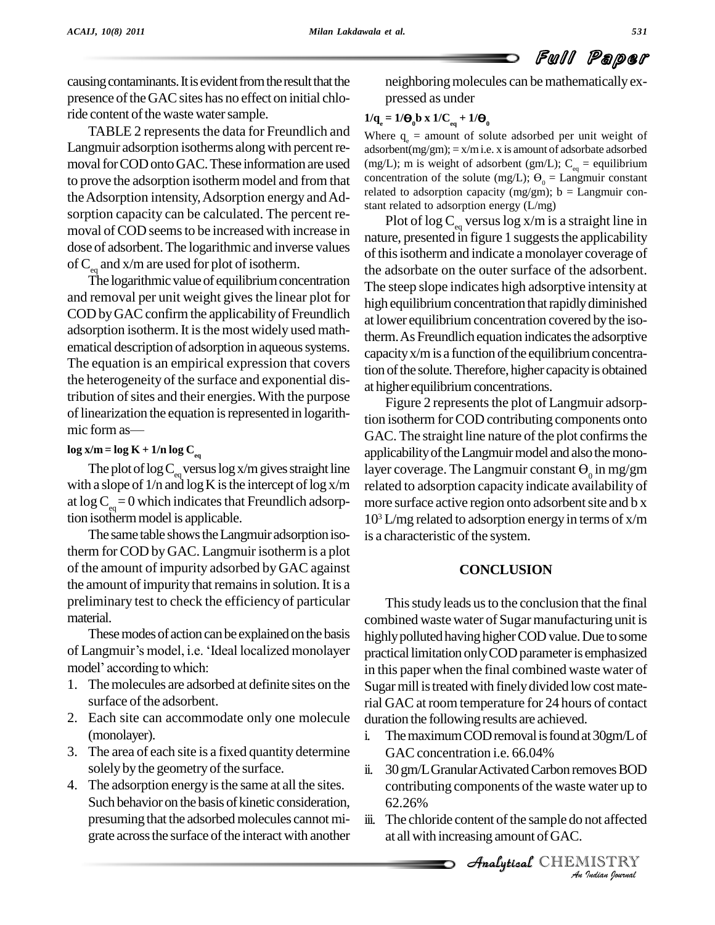causing contaminants. It is evident from the result that the presence of the GAC sites has no effect on initial chloride content of the waste water sample.

TABLE 2 represents the data for Freundlich and Langmuir adsorption isotherms along with percent removal for COD onto GAC. These information are used to prove the adsorption isotherm model and from that the Adsorption intensity, Adsorption energy and Adsorption capacity can be calculated. The percent re moval of COD seems to be increased with increase in dose of adsorbent.The logarithmic and inverse values of  $C_{\text{eq}}$  and x/m are used for plot of isotherm.

The logarithmic value of equilibrium concentration and removal per unit weight gives the linear plot for COD by GAC confirm the applicability of Freundlich adsorption isotherm. It is the most widely used mathematical description of adsorption in aqueous systems. The equation is an empirical expression that covers the heterogeneity of the surface and exponential distribution of sites and their energies. With the purpose  $\frac{m}{F}$  of linearization the equation is represented in logarith-<br>mic form as  $\frac{GAC}{F}$ of linearization the equation is represented in logarith-

### $\log x/m = \log K + 1/n \log C_{eq}$

The plot of  $\log C_{\text{eq}}$  versus  $\log x/m$  gives straight line layer with a slope of  $1/n$  and  $\log K$  is the intercept of  $\log x/m$ at  $\log C_{eq}= 0$  which indicates that Freundlich adsorption isothermmodel is applicable.

The same table shows the Langmuir adsorption isotherm for COD byGAC. Langmuir isothermis a plot of the amount of impurity adsorbed by GAC against the amount of impurity that remains in solution. It is a preliminary test to check the efficiency of particular material.

These modes of action can be explained on the basis of material.<br>These modes of action can be explained on the basis high<br>of Langmuir's model, i.e. 'Ideal localized monolayer pract These modes of action can be<br>of Langmuir's model, i.e. 'Ideal<br>model' according to which:

- 1. Themolecules are adsorbed at definite sites on the surface of the adsorbent.
- 2. Each site can accommodate only one molecule (monolayer).
- 3. The area of each site is a fixed quantity determine solely by the geometry of the surface.
- 4. The adsorption energy is the same at all the sites. Such behavior on the basis of kinetic consideration, presuming that the adsorbed molecules cannot migrate across the surface of the interact with another

neighboring molecules can be mathematically expressed as under

# $1/q_e = 1/\Theta_0 b \times 1/C_{eq} + 1/\Theta_0$

Where  $q_e$  = amount of solute adsorbed per unit weight of adsorbent $(mg/gm)$ ; = x/m i.e. x is amount of adsorbate adsorbed (mg/L); m is weight of adsorbent (gm/L);  $C_{eq}$  = equilibrium concentration of the solute (mg/L);  $\Theta_0 =$  Langmuir constant related to adsorption capacity (mg/gm);  $b =$  Langmuir constant related to adsorption energy (L/mg)

Plot of log  $\mathrm{C}_{_{\mathrm{eq}}}$  versus log x/m is a straight line in nature, presented in figure 1 suggests the applicability of this isotherm and indicate a monolayer coverage of the adsorbate on the outer surface of the adsorbent. The steep slope indicates high adsorptive intensity at high equilibrium concentration that rapidly diminished at lower equilibrium concentration covered by the isotherm. As Freundlich equation indicates the adsorptive capacity  $x/m$  is a function of the equilibrium concentration of the solute. Therefore, higher capacity is obtained at higher equilibrium concentrations.

Figure 2 represents the plot of Langmuir adsorption isotherm forCOD contributing components onto GAC. The straight line nature of the plot confirms the applicability of the Langmuir model and also the monolayer coverage. The Langmuir constant  $\Theta_0$  in mg/gm related to adsorption capacity indicate availability of more surface active region onto adsorbent site and b x 10 <sup>3</sup> L/mg related to adsorption energy in terms of x/m is a characteristic of the system.

## **CONCLUSION**

This study leads us to the conclusion that the final combined waste water of Sugar manufacturing unit is highly polluted having higher COD value. Due to some practical limitation only COD parameter is emphasized in this paper when the final combined waste water of Sugar mill is treated with finely divided low cost material GAC at room temperature for 24 hours of contact duration the following results are achieved.

- i. The maximum COD removal is found at  $30gm/L$  of GAC concentration *i.e.* 66.04%
- ii. 30 gm/L Granular Activated Carbon removes BOD *I*<br> *I* water up to<br> *I* ISTRY<br> *I Isalian Iournal* contributing components of the waste water up to 62.26%
- iii. The chloride content of the sample do not affected at allwith increasing amount ofGAC.